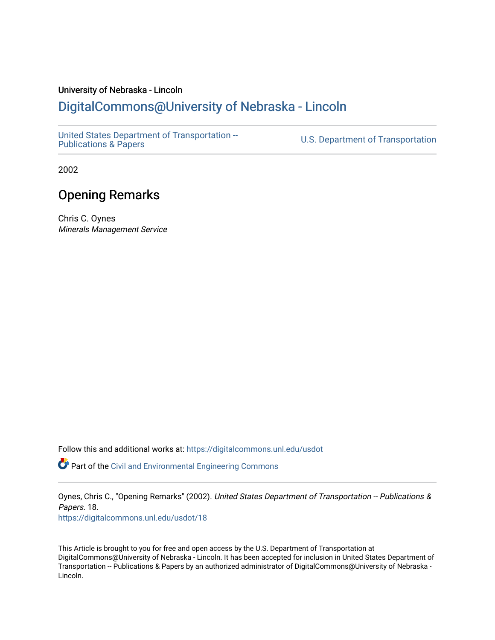#### University of Nebraska - Lincoln

#### [DigitalCommons@University of Nebraska - Lincoln](https://digitalcommons.unl.edu/)

[United States Department of Transportation --](https://digitalcommons.unl.edu/usdot)<br>Publications & Papers

U.S. Department of Transportation

2002

#### Opening Remarks

Chris C. Oynes Minerals Management Service

Follow this and additional works at: [https://digitalcommons.unl.edu/usdot](https://digitalcommons.unl.edu/usdot?utm_source=digitalcommons.unl.edu%2Fusdot%2F18&utm_medium=PDF&utm_campaign=PDFCoverPages) 

Part of the [Civil and Environmental Engineering Commons](http://network.bepress.com/hgg/discipline/251?utm_source=digitalcommons.unl.edu%2Fusdot%2F18&utm_medium=PDF&utm_campaign=PDFCoverPages)

Oynes, Chris C., "Opening Remarks" (2002). United States Department of Transportation -- Publications & Papers. 18. [https://digitalcommons.unl.edu/usdot/18](https://digitalcommons.unl.edu/usdot/18?utm_source=digitalcommons.unl.edu%2Fusdot%2F18&utm_medium=PDF&utm_campaign=PDFCoverPages)

This Article is brought to you for free and open access by the U.S. Department of Transportation at DigitalCommons@University of Nebraska - Lincoln. It has been accepted for inclusion in United States Department of Transportation -- Publications & Papers by an authorized administrator of DigitalCommons@University of Nebraska - Lincoln.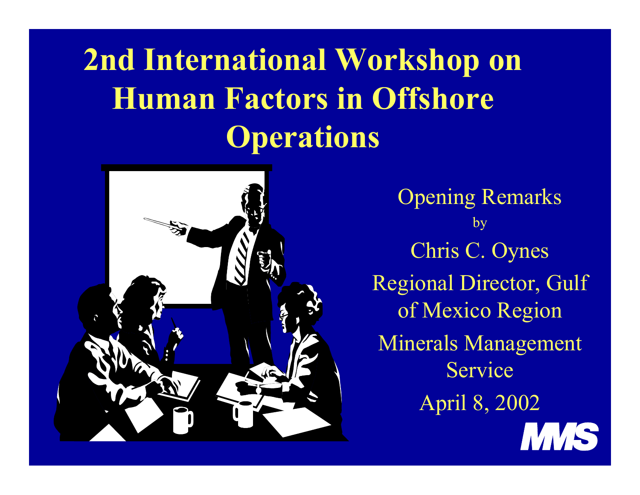## **2nd International Workshop on Human Factors in Offshore Operations**



Opening Remarks by Chris C. Oynes Regional Director, Gulf of Mexico Region Minerals Management ServiceApril 8, 2002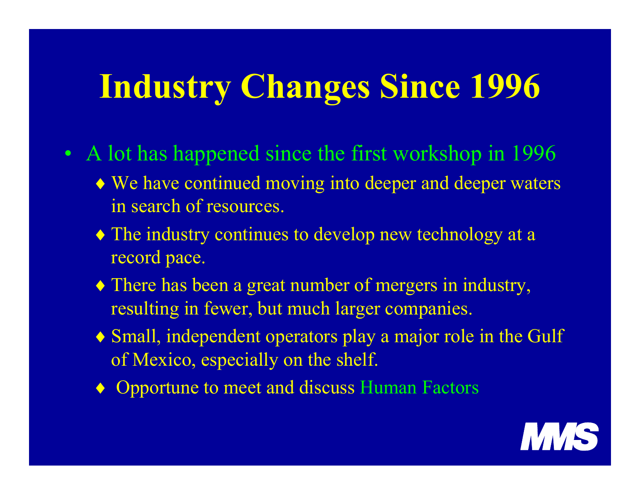# **Industry Changes Since 1996**

- A lot has happened since the first workshop in 1996
	- ♦ We have continued moving into deeper and deeper waters in search of resources.
	- ♦ The industry continues to develop new technology at a record pace.
	- ♦ There has been a great number of mergers in industry, resulting in fewer, but much larger companies.
	- ♦ Small, independent operators play a major role in the Gulf of Mexico, especially on the shelf.
	- ♦ Opportune to meet and discuss Human Factors

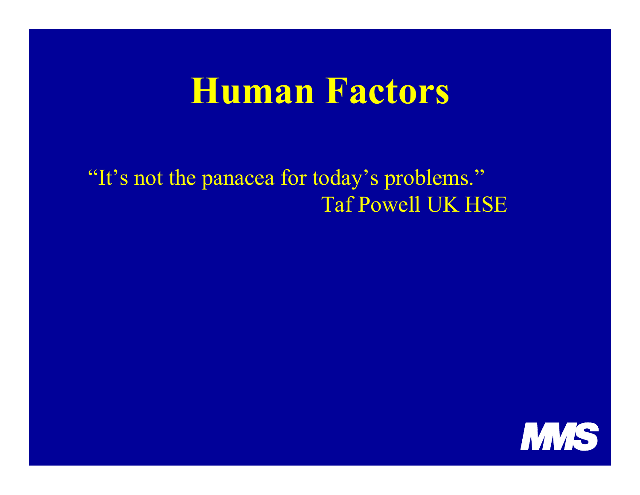### **Human Factors**

"It's not the panacea for today's problems." Taf Powell UK HSE

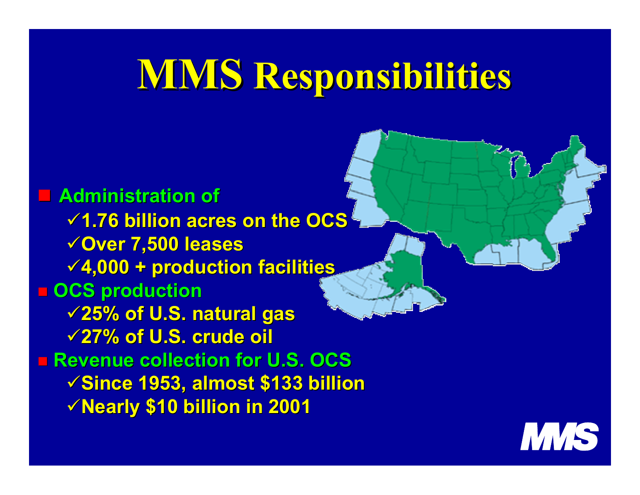# **MMS Responsibilities Responsibilities**

 **Administration of Administration of1.76 billion acres on the OCS 1.76 billion acres on the OCS Over 7,500 leases Over 7,500 leases 4,000 + production facilities 4,000 + production facilities OCS production OCS production 25% of U.S. natural gas 25% of U.S. natural gas 27% of U.S. crude oil 27% of U.S. crude oil** ■ Revenue collection for U.S. OCS **Since 1953, almost \$133 billion Since 1953, almost \$133 billion Nearly \$10 billion in 2001 Nearly \$10 billion in 2001**

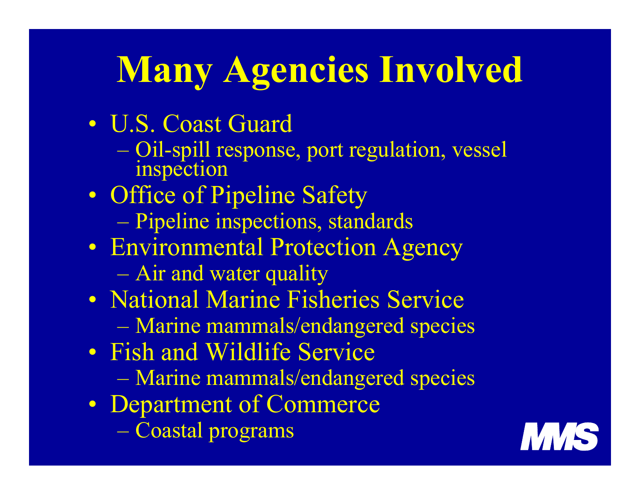# **Many Agencies Involved**

- $\bullet$  U.S. Coast Guard
	- Oil-spill response, port regulation, vessel inspection
- $\bullet$ • Office of Pipeline Safety
	- Pipeline inspections, standards
- $\bullet$  Environmental Protection Agency – Air and water quality
- $\bullet$  National Marine Fisheries Service
	- Marine mammals/endangered species
- $\bullet$ • Fish and Wildlife Service
	- Marine mammals/endangered species
- $\bullet$  Department of Commerce – Coastal programs

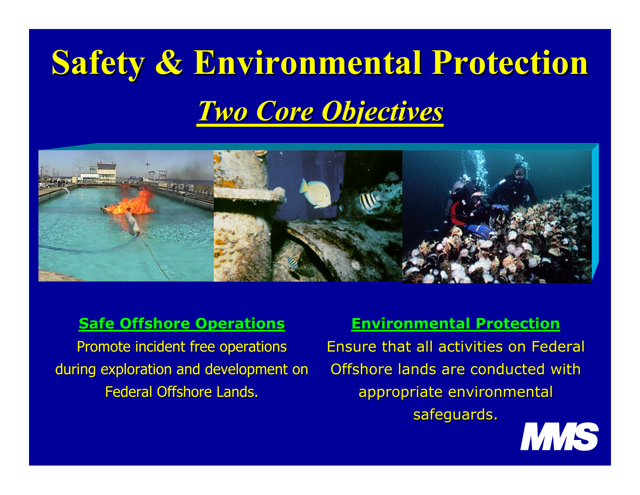# **Safety & Environmental Protection** *Two Core Objectives Two Core Objectives*



#### **Safe Offshore Operations**

Promote incident free operations during exploration and development on Federal Offshore Lands.

#### **Environmental Protection Environmental Protection**

Ensure that all activities on Federal Offshore lands are conducted with appropriate environmental safeguards.

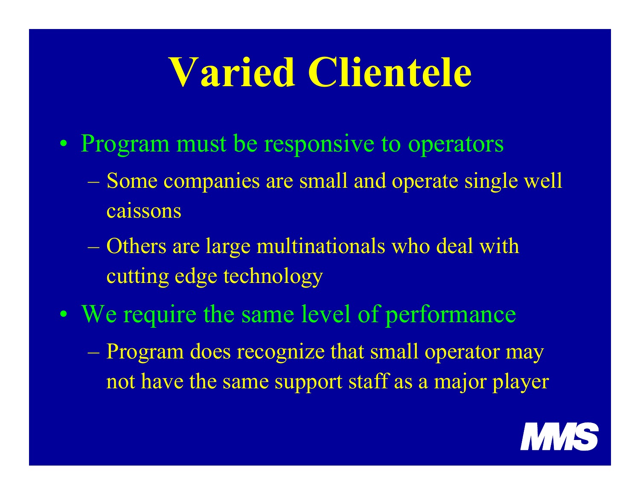# **Varied Clientele**

- $\bullet$ • Program must be responsive to operators
	- Some companies are small and operate single well caissons
	- Others are large multinationals who deal with cutting edge technology
- •• We require the same level of performance
	- Program does recognize that small operator may not have the same support staff as a major player

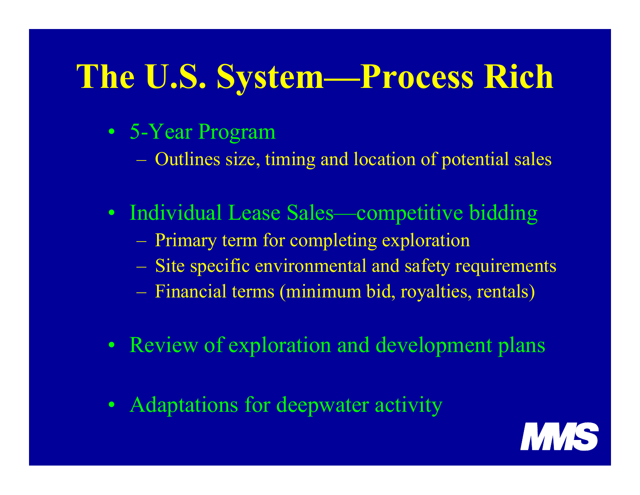# **The U.S. System—Process Rich**

- 5-Year Program
	- Outlines size, timing and location of potential sales
- Individual Lease Sales—competitive bidding
	- Primary term for completing exploration
	- Site specific environmental and safety requirements
	- Financial terms (minimum bid, royalties, rentals)
- Review of exploration and development plans
- Adaptations for deepwater activity

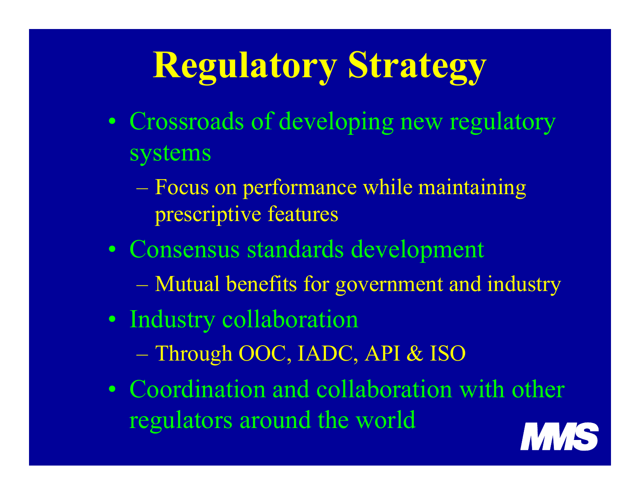# **Regulatory Strategy**

- •• Crossroads of developing new regulatory systems
	- Focus on performance while maintaining prescriptive features
- Consensus standards development
	- Mutual benefits for government and industry
- •• Industry collaboration
	- Through OOC, IADC, API & ISO
- Coordination and collaboration with other regulators around the world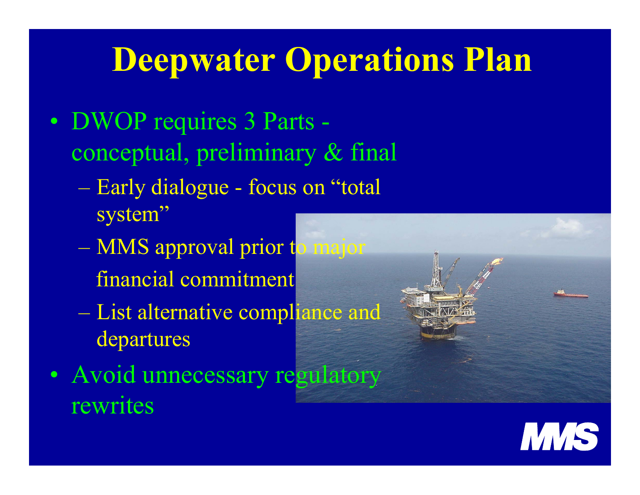## **Deepwater Operations Plan**

- •• DWOP requires 3 Parts conceptual, preliminary & final
	- Early dialogue focus on "total system"
	- MMS approval prior to major financial commitment
	- List alternative compliance and departures
- •• Avoid unnecessary regulatory rewrites

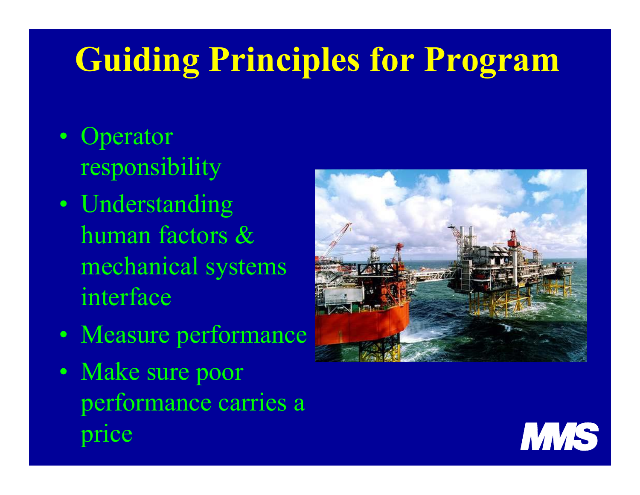# **Guiding Principles for Program**

- •• Operator responsibility
- •• Understanding human factors & mechanical systems interface
- •Measure performance
- $\bullet$ • Make sure poor performance carries a price



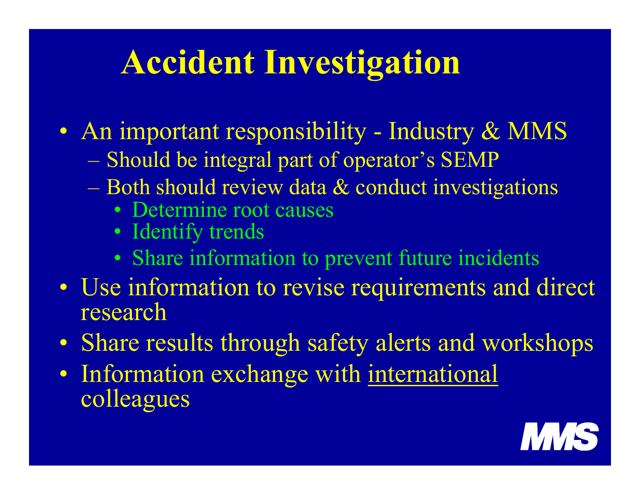## **Accident Investigation**

- $\bullet$ • An important responsibility - Industry & MMS
	- Should be integral part of operator's SEMP
	- Both should review data & conduct investigations
		- Determine root causes
		- Identify trends
		- Share information to prevent future incidents
- $\bullet$ • Use information to revise requirements and direct research
- $\bullet$ Share results through safety alerts and workshops
- $\bullet$ • Information exchange with international colleagues

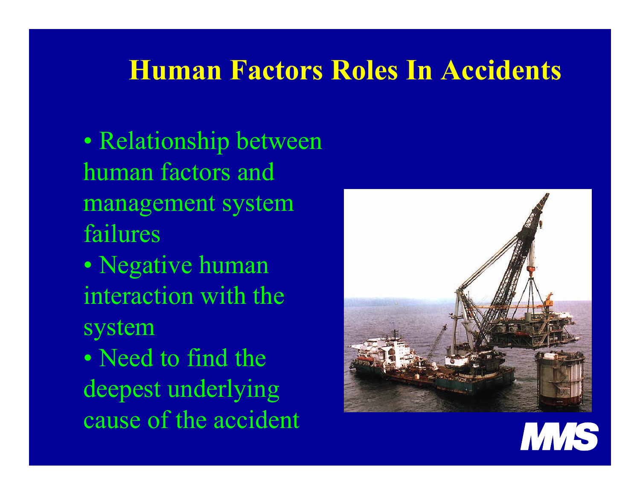#### **Human Factors Roles In Accidents**

•• Relationship between human factors andmanagement system failures

 $\bullet$  Negative human interaction with the system

•• Need to find the deepest underlying cause of the accident

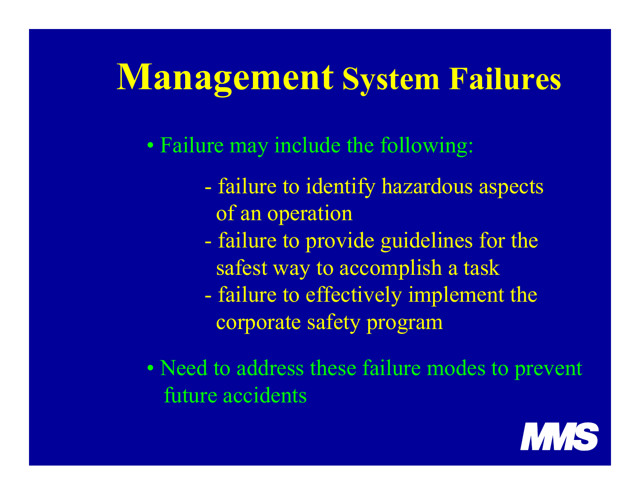## **Management System Failures**

• Failure may include the following:

- failure to identify hazardous aspects of an operation
- failure to provide guidelines for the safest way to accomplish a task
- failure to effectively implement the corporate safety program
- Need to address these failure modes to prevent future accidents

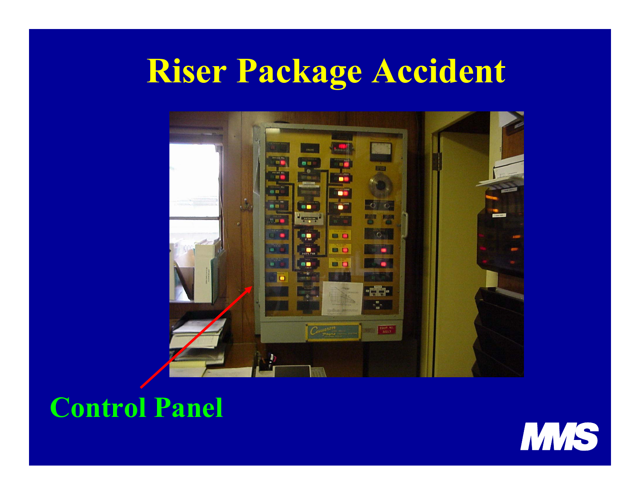### **Riser Package Accident**



#### **Control Panel**

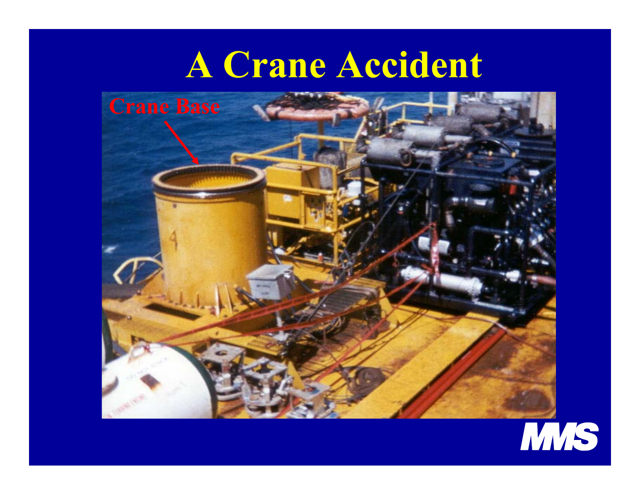### **A Crane Accident**



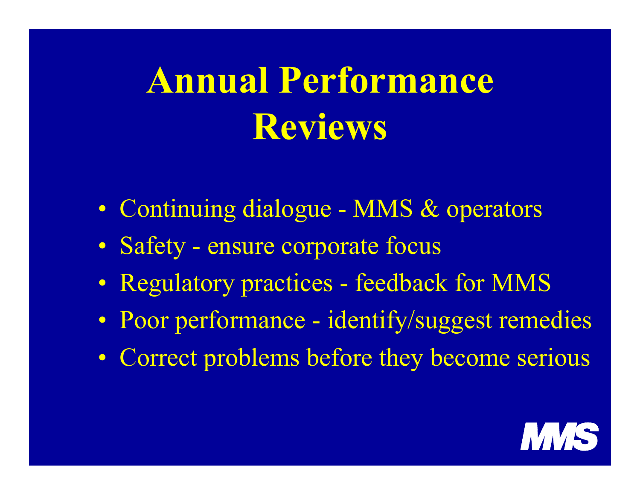# **Annual Performance Reviews**

- Continuing dialogue MMS & operators
- $\bullet$ • Safety - ensure corporate focus
- $\bullet$ Regulatory practices - feedback for MMS
- $\bullet$ • Poor performance - identify/suggest remedies
- Correct problems before they become serious